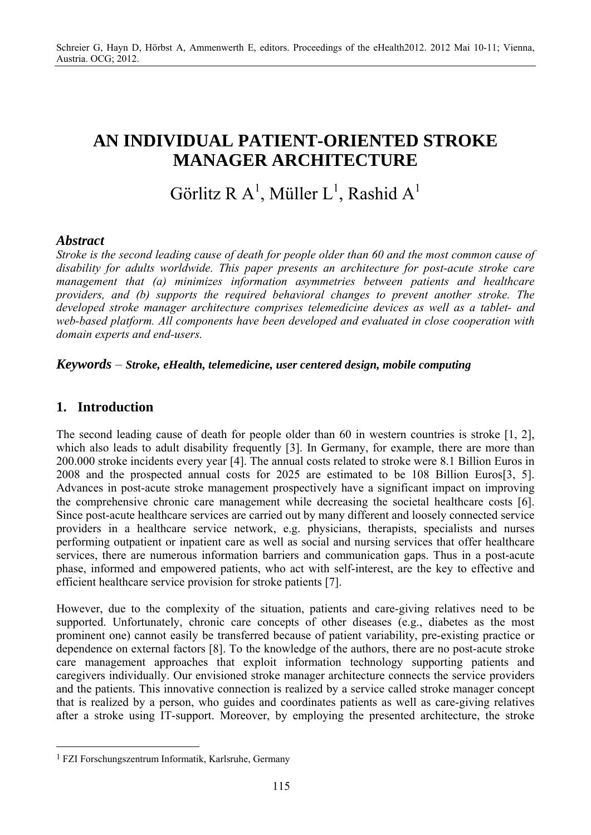# **AN INDIVIDUAL PATIENT-ORIENTED STROKE MANAGER ARCHITECTURE**

# Görlitz R A<sup>1</sup>, Müller L<sup>1</sup>, Rashid A<sup>1</sup>

## *Abstract*

*Stroke is the second leading cause of death for people older than 60 and the most common cause of disability for adults worldwide. This paper presents an architecture for post-acute stroke care management that (a) minimizes information asymmetries between patients and healthcare providers, and (b) supports the required behavioral changes to prevent another stroke. The developed stroke manager architecture comprises telemedicine devices as well as a tablet- and web-based platform. All components have been developed and evaluated in close cooperation with domain experts and end-users.* 

### *Keywords* – *Stroke, eHealth, telemedicine, user centered design, mobile computing*

## **1. Introduction**

 $\overline{a}$ 

The second leading cause of death for people older than 60 in western countries is stroke [1, 2], which also leads to adult disability frequently [3]. In Germany, for example, there are more than 200.000 stroke incidents every year [4]. The annual costs related to stroke were 8.1 Billion Euros in 2008 and the prospected annual costs for 2025 are estimated to be 108 Billion Euros[3, 5]. Advances in post-acute stroke management prospectively have a significant impact on improving the comprehensive chronic care management while decreasing the societal healthcare costs [6]. Since post-acute healthcare services are carried out by many different and loosely connected service providers in a healthcare service network, e.g. physicians, therapists, specialists and nurses performing outpatient or inpatient care as well as social and nursing services that offer healthcare services, there are numerous information barriers and communication gaps. Thus in a post-acute phase, informed and empowered patients, who act with self-interest, are the key to effective and efficient healthcare service provision for stroke patients [7].

However, due to the complexity of the situation, patients and care-giving relatives need to be supported. Unfortunately, chronic care concepts of other diseases (e.g., diabetes as the most prominent one) cannot easily be transferred because of patient variability, pre-existing practice or dependence on external factors [8]. To the knowledge of the authors, there are no post-acute stroke care management approaches that exploit information technology supporting patients and caregivers individually. Our envisioned stroke manager architecture connects the service providers and the patients. This innovative connection is realized by a service called stroke manager concept that is realized by a person, who guides and coordinates patients as well as care-giving relatives after a stroke using IT-support. Moreover, by employing the presented architecture, the stroke

<sup>1</sup> FZI Forschungszentrum Informatik, Karlsruhe, Germany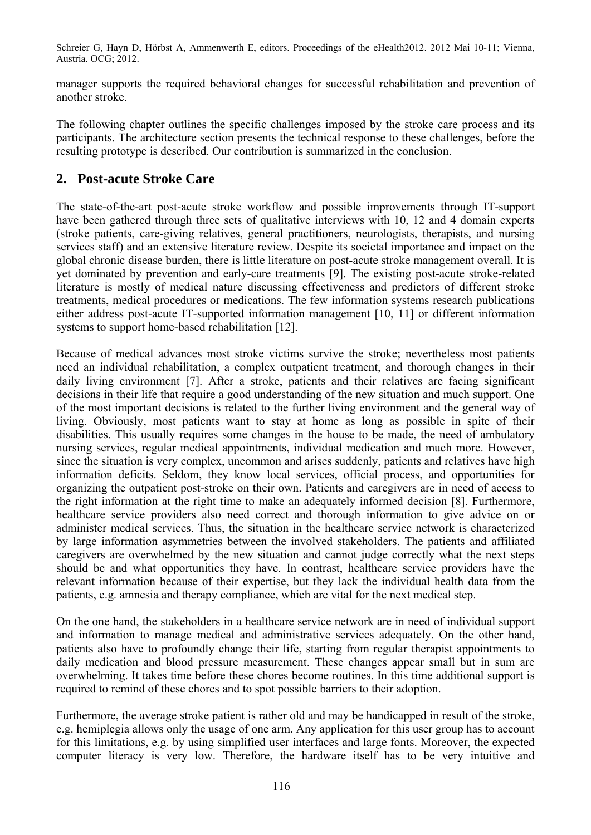manager supports the required behavioral changes for successful rehabilitation and prevention of another stroke.

The following chapter outlines the specific challenges imposed by the stroke care process and its participants. The architecture section presents the technical response to these challenges, before the resulting prototype is described. Our contribution is summarized in the conclusion.

## **2. Post-acute Stroke Care**

The state-of-the-art post-acute stroke workflow and possible improvements through IT-support have been gathered through three sets of qualitative interviews with 10, 12 and 4 domain experts (stroke patients, care-giving relatives, general practitioners, neurologists, therapists, and nursing services staff) and an extensive literature review. Despite its societal importance and impact on the global chronic disease burden, there is little literature on post-acute stroke management overall. It is yet dominated by prevention and early-care treatments [9]. The existing post-acute stroke-related literature is mostly of medical nature discussing effectiveness and predictors of different stroke treatments, medical procedures or medications. The few information systems research publications either address post-acute IT-supported information management [10, 11] or different information systems to support home-based rehabilitation [12].

Because of medical advances most stroke victims survive the stroke; nevertheless most patients need an individual rehabilitation, a complex outpatient treatment, and thorough changes in their daily living environment [7]. After a stroke, patients and their relatives are facing significant decisions in their life that require a good understanding of the new situation and much support. One of the most important decisions is related to the further living environment and the general way of living. Obviously, most patients want to stay at home as long as possible in spite of their disabilities. This usually requires some changes in the house to be made, the need of ambulatory nursing services, regular medical appointments, individual medication and much more. However, since the situation is very complex, uncommon and arises suddenly, patients and relatives have high information deficits. Seldom, they know local services, official process, and opportunities for organizing the outpatient post-stroke on their own. Patients and caregivers are in need of access to the right information at the right time to make an adequately informed decision [8]. Furthermore, healthcare service providers also need correct and thorough information to give advice on or administer medical services. Thus, the situation in the healthcare service network is characterized by large information asymmetries between the involved stakeholders. The patients and affiliated caregivers are overwhelmed by the new situation and cannot judge correctly what the next steps should be and what opportunities they have. In contrast, healthcare service providers have the relevant information because of their expertise, but they lack the individual health data from the patients, e.g. amnesia and therapy compliance, which are vital for the next medical step.

On the one hand, the stakeholders in a healthcare service network are in need of individual support and information to manage medical and administrative services adequately. On the other hand, patients also have to profoundly change their life, starting from regular therapist appointments to daily medication and blood pressure measurement. These changes appear small but in sum are overwhelming. It takes time before these chores become routines. In this time additional support is required to remind of these chores and to spot possible barriers to their adoption.

Furthermore, the average stroke patient is rather old and may be handicapped in result of the stroke, e.g. hemiplegia allows only the usage of one arm. Any application for this user group has to account for this limitations, e.g. by using simplified user interfaces and large fonts. Moreover, the expected computer literacy is very low. Therefore, the hardware itself has to be very intuitive and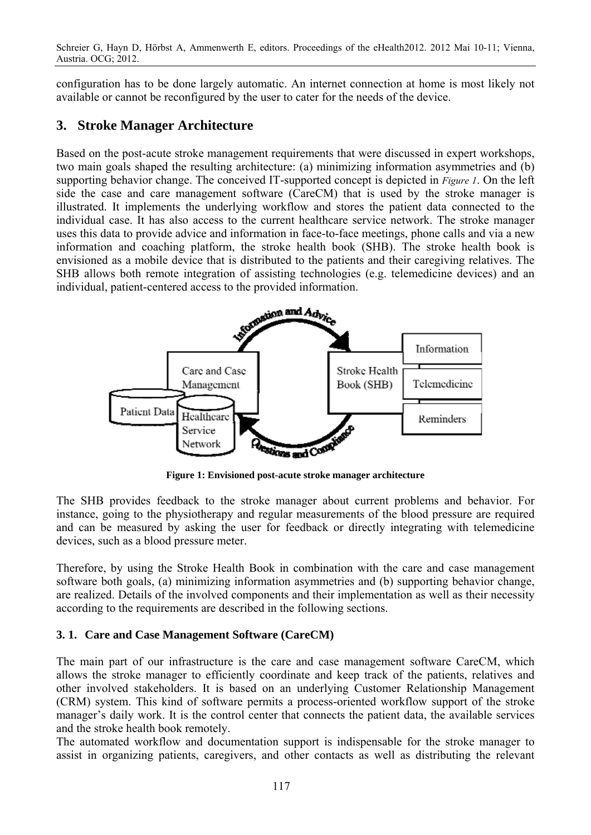Schreier G, Hayn D, Hörbst A, Ammenwerth E, editors. Proceedings of the eHealth2012. 2012 Mai 10-11; Vienna, Austria. OCG; 2012.

configuration has to be done largely automatic. An internet connection at home is most likely not available or cannot be reconfigured by the user to cater for the needs of the device.

## **3. Stroke Manager Architecture**

Based on the post-acute stroke management requirements that were discussed in expert workshops, two main goals shaped the resulting architecture: (a) minimizing information asymmetries and (b) supporting behavior change. The conceived IT-supported concept is depicted in *Figure 1*. On the left side the case and care management software (CareCM) that is used by the stroke manager is illustrated. It implements the underlying workflow and stores the patient data connected to the individual case. It has also access to the current healthcare service network. The stroke manager uses this data to provide advice and information in face-to-face meetings, phone calls and via a new information and coaching platform, the stroke health book (SHB). The stroke health book is envisioned as a mobile device that is distributed to the patients and their caregiving relatives. The SHB allows both remote integration of assisting technologies (e.g. telemedicine devices) and an individual, patient-centered access to the provided information.



**Figure 1: Envisioned post-acute stroke manager architecture** 

The SHB provides feedback to the stroke manager about current problems and behavior. For instance, going to the physiotherapy and regular measurements of the blood pressure are required and can be measured by asking the user for feedback or directly integrating with telemedicine devices, such as a blood pressure meter.

Therefore, by using the Stroke Health Book in combination with the care and case management software both goals, (a) minimizing information asymmetries and (b) supporting behavior change, are realized. Details of the involved components and their implementation as well as their necessity according to the requirements are described in the following sections.

### **3. 1. Care and Case Management Software (CareCM)**

The main part of our infrastructure is the care and case management software CareCM, which allows the stroke manager to efficiently coordinate and keep track of the patients, relatives and other involved stakeholders. It is based on an underlying Customer Relationship Management (CRM) system. This kind of software permits a process-oriented workflow support of the stroke manager's daily work. It is the control center that connects the patient data, the available services and the stroke health book remotely.

The automated workflow and documentation support is indispensable for the stroke manager to assist in organizing patients, caregivers, and other contacts as well as distributing the relevant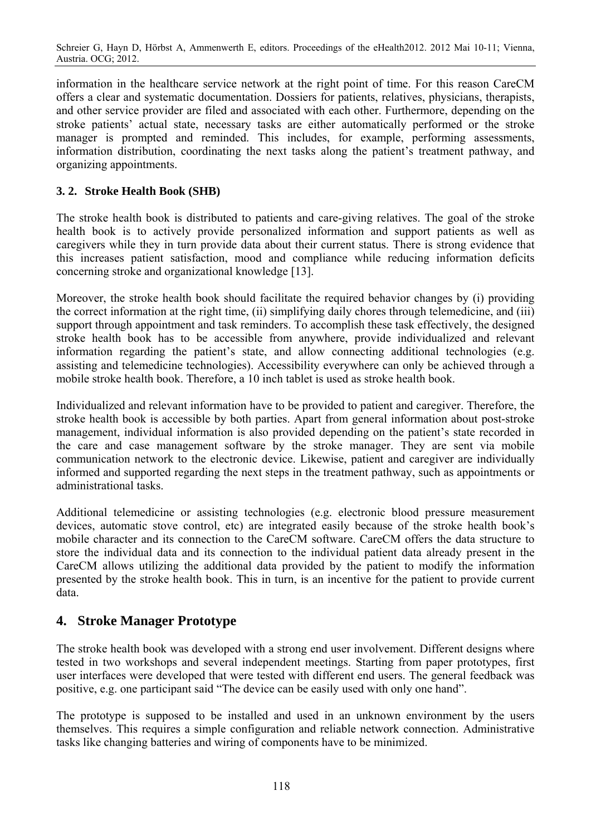information in the healthcare service network at the right point of time. For this reason CareCM offers a clear and systematic documentation. Dossiers for patients, relatives, physicians, therapists, and other service provider are filed and associated with each other. Furthermore, depending on the stroke patients' actual state, necessary tasks are either automatically performed or the stroke manager is prompted and reminded. This includes, for example, performing assessments, information distribution, coordinating the next tasks along the patient's treatment pathway, and organizing appointments.

### **3. 2. Stroke Health Book (SHB)**

The stroke health book is distributed to patients and care-giving relatives. The goal of the stroke health book is to actively provide personalized information and support patients as well as caregivers while they in turn provide data about their current status. There is strong evidence that this increases patient satisfaction, mood and compliance while reducing information deficits concerning stroke and organizational knowledge [13].

Moreover, the stroke health book should facilitate the required behavior changes by (i) providing the correct information at the right time, (ii) simplifying daily chores through telemedicine, and (iii) support through appointment and task reminders. To accomplish these task effectively, the designed stroke health book has to be accessible from anywhere, provide individualized and relevant information regarding the patient's state, and allow connecting additional technologies (e.g. assisting and telemedicine technologies). Accessibility everywhere can only be achieved through a mobile stroke health book. Therefore, a 10 inch tablet is used as stroke health book.

Individualized and relevant information have to be provided to patient and caregiver. Therefore, the stroke health book is accessible by both parties. Apart from general information about post-stroke management, individual information is also provided depending on the patient's state recorded in the care and case management software by the stroke manager. They are sent via mobile communication network to the electronic device. Likewise, patient and caregiver are individually informed and supported regarding the next steps in the treatment pathway, such as appointments or administrational tasks.

Additional telemedicine or assisting technologies (e.g. electronic blood pressure measurement devices, automatic stove control, etc) are integrated easily because of the stroke health book's mobile character and its connection to the CareCM software. CareCM offers the data structure to store the individual data and its connection to the individual patient data already present in the CareCM allows utilizing the additional data provided by the patient to modify the information presented by the stroke health book. This in turn, is an incentive for the patient to provide current data.

## **4. Stroke Manager Prototype**

The stroke health book was developed with a strong end user involvement. Different designs where tested in two workshops and several independent meetings. Starting from paper prototypes, first user interfaces were developed that were tested with different end users. The general feedback was positive, e.g. one participant said "The device can be easily used with only one hand".

The prototype is supposed to be installed and used in an unknown environment by the users themselves. This requires a simple configuration and reliable network connection. Administrative tasks like changing batteries and wiring of components have to be minimized.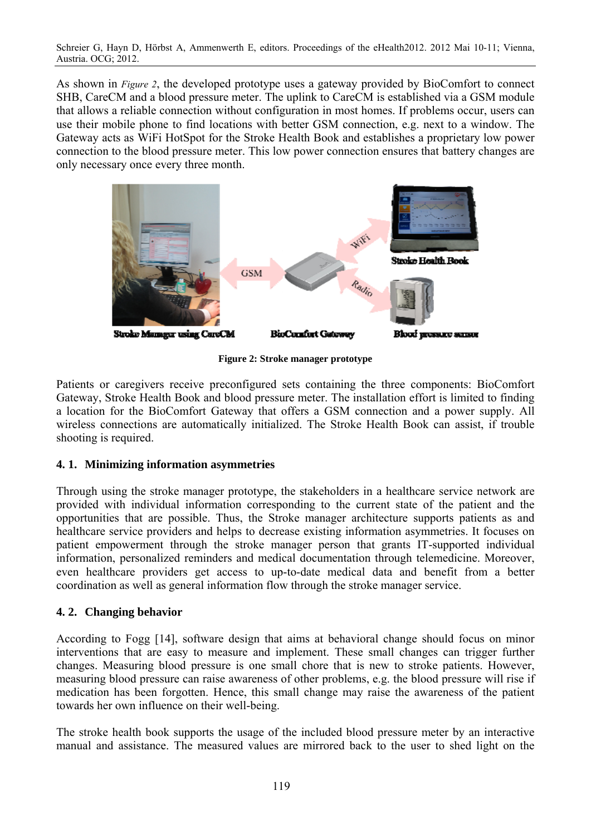Schreier G, Hayn D, Hörbst A, Ammenwerth E, editors. Proceedings of the eHealth2012. 2012 Mai 10-11; Vienna, Austria. OCG; 2012.

As shown in *Figure 2*, the developed prototype uses a gateway provided by BioComfort to connect SHB, CareCM and a blood pressure meter. The uplink to CareCM is established via a GSM module that allows a reliable connection without configuration in most homes. If problems occur, users can use their mobile phone to find locations with better GSM connection, e.g. next to a window. The Gateway acts as WiFi HotSpot for the Stroke Health Book and establishes a proprietary low power connection to the blood pressure meter. This low power connection ensures that battery changes are only necessary once every three month.



**Figure 2: Stroke manager prototype** 

Patients or caregivers receive preconfigured sets containing the three components: BioComfort Gateway, Stroke Health Book and blood pressure meter. The installation effort is limited to finding a location for the BioComfort Gateway that offers a GSM connection and a power supply. All wireless connections are automatically initialized. The Stroke Health Book can assist, if trouble shooting is required.

#### **4. 1. Minimizing information asymmetries**

Through using the stroke manager prototype, the stakeholders in a healthcare service network are provided with individual information corresponding to the current state of the patient and the opportunities that are possible. Thus, the Stroke manager architecture supports patients as and healthcare service providers and helps to decrease existing information asymmetries. It focuses on patient empowerment through the stroke manager person that grants IT-supported individual information, personalized reminders and medical documentation through telemedicine. Moreover, even healthcare providers get access to up-to-date medical data and benefit from a better coordination as well as general information flow through the stroke manager service.

#### **4. 2. Changing behavior**

According to Fogg [14], software design that aims at behavioral change should focus on minor interventions that are easy to measure and implement. These small changes can trigger further changes. Measuring blood pressure is one small chore that is new to stroke patients. However, measuring blood pressure can raise awareness of other problems, e.g. the blood pressure will rise if medication has been forgotten. Hence, this small change may raise the awareness of the patient towards her own influence on their well-being.

The stroke health book supports the usage of the included blood pressure meter by an interactive manual and assistance. The measured values are mirrored back to the user to shed light on the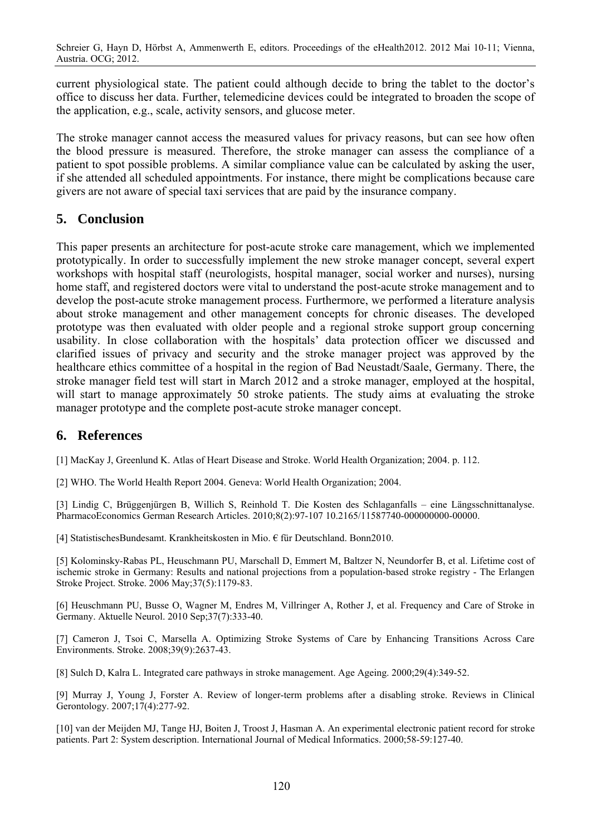current physiological state. The patient could although decide to bring the tablet to the doctor's office to discuss her data. Further, telemedicine devices could be integrated to broaden the scope of the application, e.g., scale, activity sensors, and glucose meter.

The stroke manager cannot access the measured values for privacy reasons, but can see how often the blood pressure is measured. Therefore, the stroke manager can assess the compliance of a patient to spot possible problems. A similar compliance value can be calculated by asking the user, if she attended all scheduled appointments. For instance, there might be complications because care givers are not aware of special taxi services that are paid by the insurance company.

# **5. Conclusion**

This paper presents an architecture for post-acute stroke care management, which we implemented prototypically. In order to successfully implement the new stroke manager concept, several expert workshops with hospital staff (neurologists, hospital manager, social worker and nurses), nursing home staff, and registered doctors were vital to understand the post-acute stroke management and to develop the post-acute stroke management process. Furthermore, we performed a literature analysis about stroke management and other management concepts for chronic diseases. The developed prototype was then evaluated with older people and a regional stroke support group concerning usability. In close collaboration with the hospitals' data protection officer we discussed and clarified issues of privacy and security and the stroke manager project was approved by the healthcare ethics committee of a hospital in the region of Bad Neustadt/Saale, Germany. There, the stroke manager field test will start in March 2012 and a stroke manager, employed at the hospital, will start to manage approximately 50 stroke patients. The study aims at evaluating the stroke manager prototype and the complete post-acute stroke manager concept.

## **6. References**

[1] MacKay J, Greenlund K. Atlas of Heart Disease and Stroke. World Health Organization; 2004. p. 112.

[2] WHO. The World Health Report 2004. Geneva: World Health Organization; 2004.

[3] Lindig C, Brüggenjürgen B, Willich S, Reinhold T. Die Kosten des Schlaganfalls – eine Längsschnittanalyse. PharmacoEconomics German Research Articles. 2010;8(2):97-107 10.2165/11587740-000000000-00000.

[4] StatistischesBundesamt. Krankheitskosten in Mio. € für Deutschland. Bonn2010.

[5] Kolominsky-Rabas PL, Heuschmann PU, Marschall D, Emmert M, Baltzer N, Neundorfer B, et al. Lifetime cost of ischemic stroke in Germany: Results and national projections from a population-based stroke registry - The Erlangen Stroke Project. Stroke. 2006 May;37(5):1179-83.

[6] Heuschmann PU, Busse O, Wagner M, Endres M, Villringer A, Rother J, et al. Frequency and Care of Stroke in Germany. Aktuelle Neurol. 2010 Sep;37(7):333-40.

[7] Cameron J, Tsoi C, Marsella A. Optimizing Stroke Systems of Care by Enhancing Transitions Across Care Environments. Stroke. 2008;39(9):2637-43.

[8] Sulch D, Kalra L. Integrated care pathways in stroke management. Age Ageing. 2000;29(4):349-52.

[9] Murray J, Young J, Forster A. Review of longer-term problems after a disabling stroke. Reviews in Clinical Gerontology. 2007;17(4):277-92.

[10] van der Meijden MJ, Tange HJ, Boiten J, Troost J, Hasman A. An experimental electronic patient record for stroke patients. Part 2: System description. International Journal of Medical Informatics. 2000;58-59:127-40.